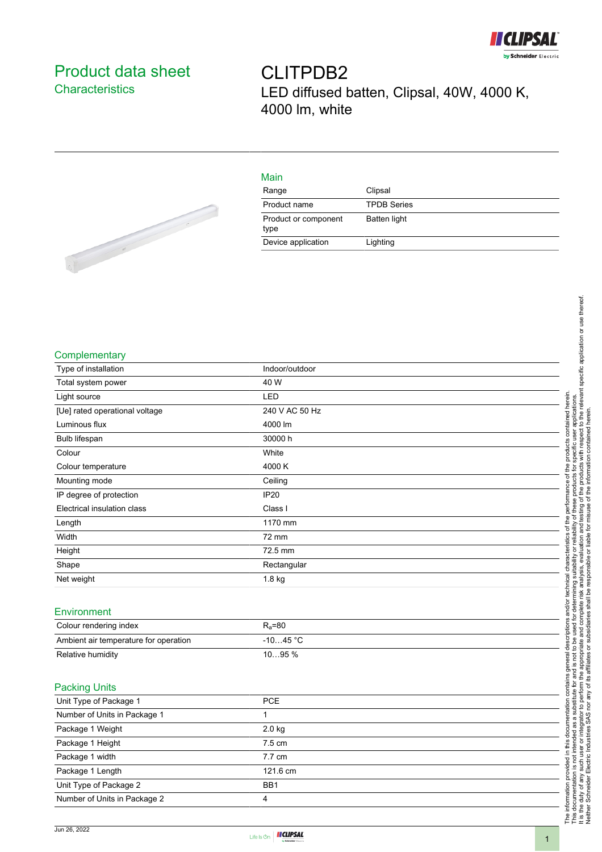

## Product data sheet **Characteristics**

CLITPDB2 LED diffused batten, Clipsal, 40W, 4000 K, 4000 lm, white



| Main                         |                    |
|------------------------------|--------------------|
| Range                        | Clipsal            |
| Product name                 | <b>TPDB Series</b> |
| Product or component<br>type | Batten light       |
| Device application           | Lighting           |



| Indoor/outdoor |
|----------------|
| 40 W           |
| LED            |
| 240 V AC 50 Hz |
| 4000 lm        |
| 30000 h        |
| White          |
| 4000 K         |
| Ceiling        |
| <b>IP20</b>    |
| Class I        |
| 1170 mm        |
| 72 mm          |
| 72.5 mm        |
| Rectangular    |
| 1.8 kg         |
|                |
|                |
| $R_a = 80$     |
| $-1045 °C$     |
| 1095 %         |
|                |
|                |
| PCE            |
| 1              |
| 2.0 kg         |
| 7.5 cm         |
| 7.7 cm         |
| 121.6 cm       |
| BB1            |
|                |

Number of Units in Package 2 4